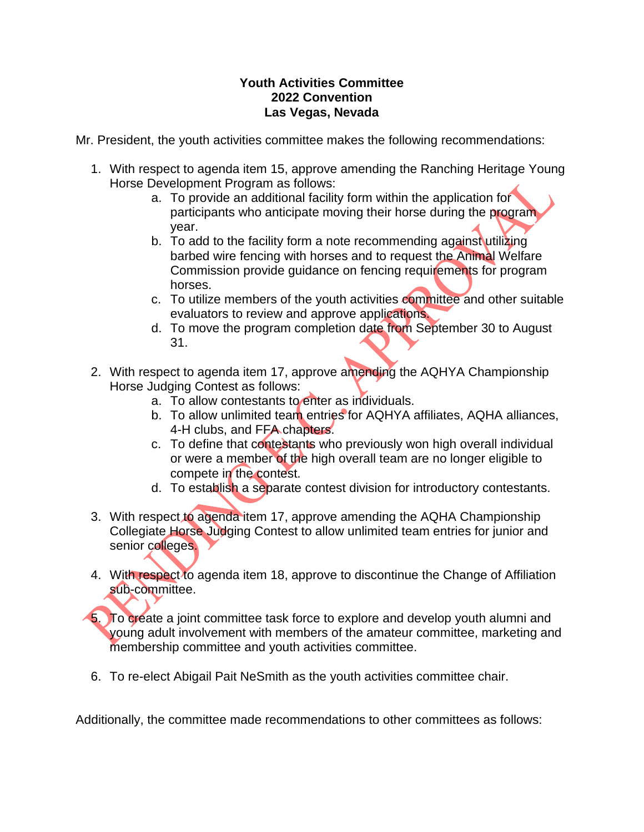## **Youth Activities Committee 2022 Convention Las Vegas, Nevada**

Mr. President, the youth activities committee makes the following recommendations:

- 1. With respect to agenda item 15, approve amending the Ranching Heritage Young Horse Development Program as follows:
	- a. To provide an additional facility form within the application for participants who anticipate moving their horse during the program year.
	- b. To add to the facility form a note recommending against utilizing barbed wire fencing with horses and to request the Animal Welfare Commission provide guidance on fencing requirements for program horses.
	- c. To utilize members of the youth activities committee and other suitable evaluators to review and approve applications.
	- d. To move the program completion date from September 30 to August 31.
- 2. With respect to agenda item 17, approve amending the AQHYA Championship Horse Judging Contest as follows:
	- a. To allow contestants to enter as individuals.
	- b. To allow unlimited team entries for AQHYA affiliates, AQHA alliances, 4-H clubs, and FFA chapters.
	- c. To define that contestants who previously won high overall individual or were a member of the high overall team are no longer eligible to compete in the contest.
	- d. To establish a separate contest division for introductory contestants.
- 3. With respect to agenda item 17, approve amending the AQHA Championship Collegiate Horse Judging Contest to allow unlimited team entries for junior and senior colleges.
- 4. With respect to agenda item 18, approve to discontinue the Change of Affiliation sub-committee.
- 5. To create a joint committee task force to explore and develop youth alumni and young adult involvement with members of the amateur committee, marketing and membership committee and youth activities committee.
- 6. To re-elect Abigail Pait NeSmith as the youth activities committee chair.

Additionally, the committee made recommendations to other committees as follows: